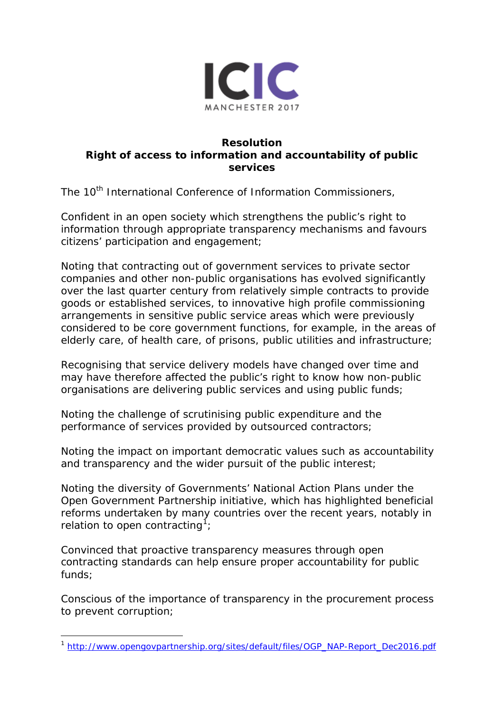

## **Resolution Right of access to information and accountability of public services**

The 10<sup>th</sup> International Conference of Information Commissioners,

*Confident in* an open society which strengthens the public's right to information through appropriate transparency mechanisms and favours citizens' participation and engagement;

*Noting* that contracting out of government services to private sector companies and other non-public organisations has evolved significantly over the last quarter century from relatively simple contracts to provide goods or established services, to innovative high profile commissioning arrangements in sensitive public service areas which were previously considered to be core government functions, for example, in the areas of elderly care, of health care, of prisons, public utilities and infrastructure;

*Recognising* that service delivery models have changed over time and may have therefore affected the public's right to know how non-public organisations are delivering public services and using public funds;

*Noting* the challenge of scrutinising public expenditure and the performance of services provided by outsourced contractors;

*Noting* the impact on important democratic values such as accountability and transparency and the wider pursuit of the public interest;

*Noting* the diversity of Governments' National Action Plans under the Open Government Partnership initiative, which has highlighted beneficial reforms undertaken by many countries over the recent years, notably in relation to open contracting<sup>[1](#page-0-0)</sup>;

*Convinced* that proactive transparency measures through open contracting standards can help ensure proper accountability for public funds;

*Conscious* of the importance of transparency in the procurement process to prevent corruption;

<span id="page-0-0"></span><sup>1</sup> [http://www.opengovpartnership.org/sites/default/files/OGP\\_NAP-Report\\_Dec2016.pdf](http://www.opengovpartnership.org/sites/default/files/OGP_NAP-Report_Dec2016.pdf)